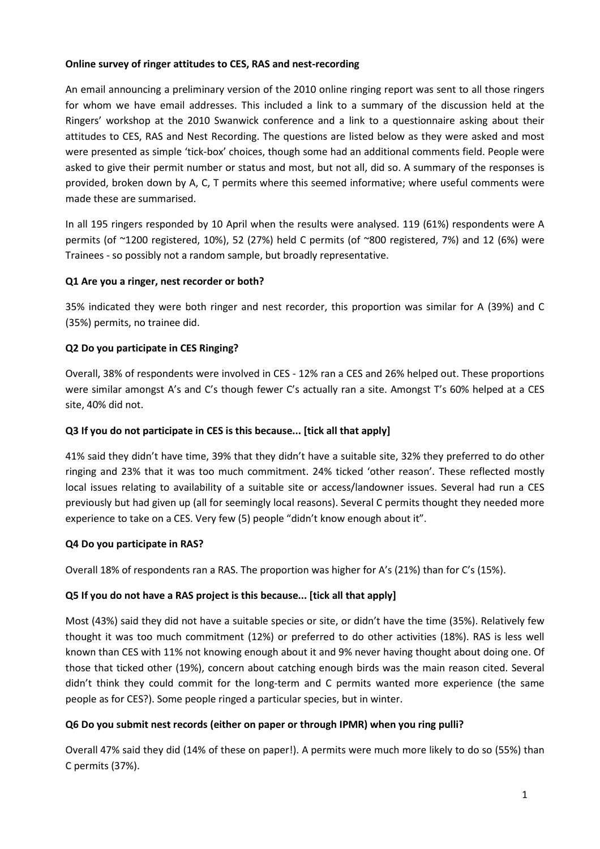#### **Online survey of ringer attitudes to CES, RAS and nest-recording**

An email announcing a preliminary version of the 2010 online ringing report was sent to all those ringers for whom we have email addresses. This included a link to a summary of the discussion held at the Ringers' workshop at the 2010 Swanwick conference and a link to a questionnaire asking about their attitudes to CES, RAS and Nest Recording. The questions are listed below as they were asked and most were presented as simple 'tick-box' choices, though some had an additional comments field. People were asked to give their permit number or status and most, but not all, did so. A summary of the responses is provided, broken down by A, C, T permits where this seemed informative; where useful comments were made these are summarised.

In all 195 ringers responded by 10 April when the results were analysed. 119 (61%) respondents were A permits (of ~1200 registered, 10%), 52 (27%) held C permits (of ~800 registered, 7%) and 12 (6%) were Trainees - so possibly not a random sample, but broadly representative.

## **Q1 Are you a ringer, nest recorder or both?**

35% indicated they were both ringer and nest recorder, this proportion was similar for A (39%) and C (35%) permits, no trainee did.

## **Q2 Do you participate in CES Ringing?**

Overall, 38% of respondents were involved in CES - 12% ran a CES and 26% helped out. These proportions were similar amongst A's and C's though fewer C's actually ran a site. Amongst T's 60% helped at a CES site, 40% did not.

#### **Q3 If you do not participate in CES is this because... [tick all that apply]**

41% said they didn't have time, 39% that they didn't have a suitable site, 32% they preferred to do other ringing and 23% that it was too much commitment. 24% ticked 'other reason'. These reflected mostly local issues relating to availability of a suitable site or access/landowner issues. Several had run a CES previously but had given up (all for seemingly local reasons). Several C permits thought they needed more experience to take on a CES. Very few (5) people "didn't know enough about it".

#### **Q4 Do you participate in RAS?**

Overall 18% of respondents ran a RAS. The proportion was higher for A's (21%) than for C's (15%).

#### **Q5 If you do not have a RAS project is this because... [tick all that apply]**

Most (43%) said they did not have a suitable species or site, or didn't have the time (35%). Relatively few thought it was too much commitment (12%) or preferred to do other activities (18%). RAS is less well known than CES with 11% not knowing enough about it and 9% never having thought about doing one. Of those that ticked other (19%), concern about catching enough birds was the main reason cited. Several didn't think they could commit for the long-term and C permits wanted more experience (the same people as for CES?). Some people ringed a particular species, but in winter.

#### **Q6 Do you submit nest records (either on paper or through IPMR) when you ring pulli?**

Overall 47% said they did (14% of these on paper!). A permits were much more likely to do so (55%) than C permits (37%).